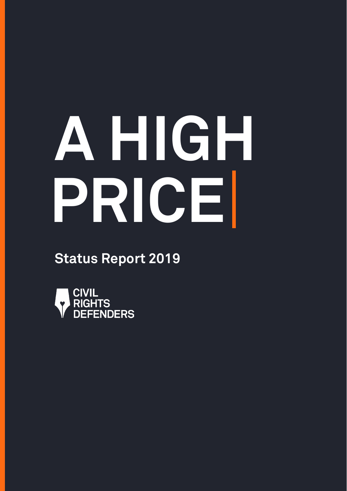# **A HIGH PRICE**

**Status Report 2019**

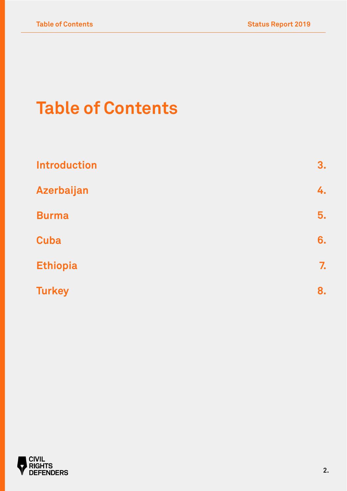# **Table of Contents**

| <b>Introduction</b> | 3. |
|---------------------|----|
| Azerbaijan          | 4. |
| <b>Burma</b>        | 5. |
| <b>Cuba</b>         | 6. |
| <b>Ethiopia</b>     | 7. |
| <b>Turkey</b>       | 8. |

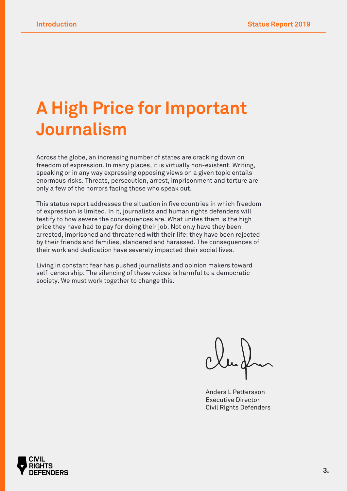## **A High Price for Important Journalism**

Across the globe, an increasing number of states are cracking down on freedom of expression. In many places, it is virtually non-existent. Writing, speaking or in any way expressing opposing views on a given topic entails enormous risks. Threats, persecution, arrest, imprisonment and torture are only a few of the horrors facing those who speak out.

This status report addresses the situation in five countries in which freedom of expression is limited. In it, journalists and human rights defenders will testify to how severe the consequences are. What unites them is the high price they have had to pay for doing their job. Not only have they been arrested, imprisoned and threatened with their life; they have been rejected by their friends and families, slandered and harassed. The consequences of their work and dedication have severely impacted their social lives.

Living in constant fear has pushed journalists and opinion makers toward self-censorship. The silencing of these voices is harmful to a democratic society. We must work together to change this.

Anders L Pettersson Executive Director Civil Rights Defenders

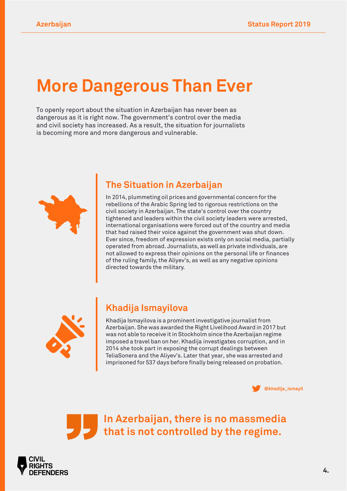## **More Dangerous Than Ever**

To openly report about the situation in Azerbaijan has never been as dangerous as it is right now. The government's control over the media and civil society has increased. As a result, the situation for journalists is becoming more and more dangerous and vulnerable.



## **The Situation in Azerbaijan**

In 2014, plummeting oil prices and governmental concern for the rebellions of the Arabic Spring led to rigorous restrictions on the civil society in Azerbaijan. The state's control over the country tightened and leaders within the civil society leaders were arrested, international organisations were forced out of the country and media that had raised their voice against the government was shut down. Ever since, freedom of expression exists only on social media, partially operated from abroad. Journalists, as well as private individuals, are not allowed to express their opinions on the personal life or finances of the ruling family, the Aliyev's, as well as any negative opinions directed towards the military.



## **Khadija Ismayilova**

Khadija Ismayilova is a prominent investigative journalist from Azerbaijan. She was awarded the Right Livelihood Award in 2017 but was not able to receive it in Stockholm since the Azerbaijan regime imposed a travel ban on her. Khadija investigates corruption, and in 2014 she took part in exposing the corrupt dealings between TeliaSonera and the Aliyev's. Later that year, she was arrested and imprisoned for 537 days before finally being released on probation.



**In Azerbaijan, there is no massmedia that is not controlled by the regime.**

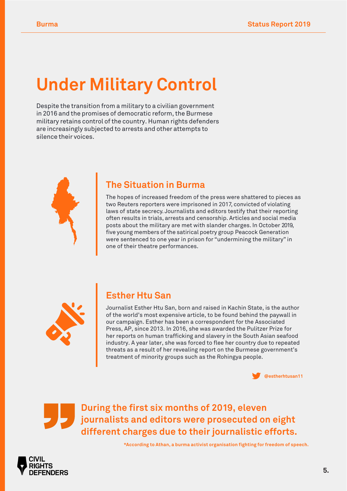# **Under Military Control**

Despite the transition from a military to a civilian government in 2016 and the promises of democratic reform, the Burmese military retains control of the country. Human rights defenders are increasingly subjected to arrests and other attempts to silence their voices.



#### **The Situation in Burma**

The hopes of increased freedom of the press were shattered to pieces as two Reuters reporters were imprisoned in 2017, convicted of violating laws of state secrecy. Journalists and editors testify that their reporting often results in trials, arrests and censorship. Articles and social media posts about the military are met with slander charges. In October 2019, five young members of the satirical poetry group Peacock Generation were sentenced to one year in prison for "undermining the military" in one of their theatre performances.



#### **Esther Htu San**

Journalist Esther Htu San, born and raised in Kachin State, is the author of the world's most expensive article, to be found behind the paywall in our campaign. Esther has been a correspondent for the Associated Press, AP, since 2013. In 2016, she was awarded the Pulitzer Prize for her reports on human trafficking and slavery in the South Asian seafood industry. A year later, she was forced to flee her country due to repeated threats as a result of her revealing report on the Burmese government's treatment of minority groups such as the Rohingya people.



**During the first six months of 2019, eleven journalists and editors were prosecuted on eight different charges due to their journalistic efforts.**

**\*According to Athan, a burma activist organisation fighting for freedom of speech.**

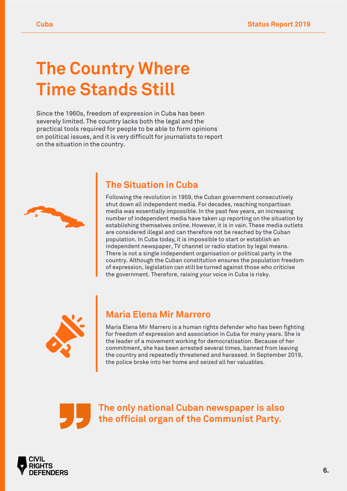## **The Country Where Time Stands Still**

Since the 1960s, freedom of expression in Cuba has been severely limited. The country lacks both the legal and the practical tools required for people to be able to form opinions on political issues, and it is very difficult for journalists to report on the situation in the country.



## **The Situation in Cuba**

Following the revolution in 1959, the Cuban government consecutively shut down all independent media. For decades, reaching nonpartisan media was essentially impossible. In the past few years, an increasing number of independent media have taken up reporting on the situation by establishing themselves online. However, it is in vain. These media outlets are considered illegal and can therefore not be reached by the Cuban population. In Cuba today, it is impossible to start or establish an independent newspaper, TV channel or radio station by legal means. There is not a single independent organisation or political party in the country. Although the Cuban constitution ensures the population freedom of expression, legislation can still be turned against those who criticise the government. Therefore, raising your voice in Cuba is risky.



#### **María Elena Mir Marrero**

María Elena Mir Marrero is a human rights defender who has been fighting for freedom of expression and association in Cuba for many years. She is the leader of a movement working for democratisation. Because of her commitment, she has been arrested several times, banned from leaving the country and repeatedly threatened and harassed. In September 2019, the police broke into her home and seized all her valuables.

**The only national Cuban newspaper is also the official organ of the Communist Party.**

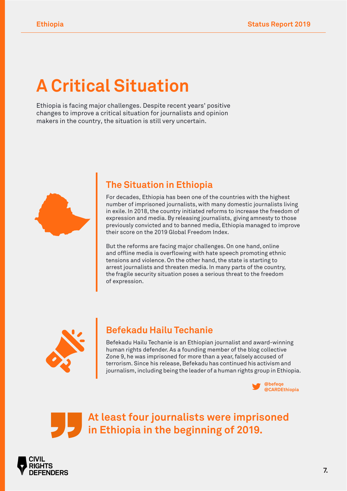## **A Critical Situation**

Ethiopia is facing major challenges. Despite recent years' positive changes to improve a critical situation for journalists and opinion makers in the country, the situation is still very uncertain.



### **The Situation in Ethiopia**

For decades, Ethiopia has been one of the countries with the highest number of imprisoned journalists, with many domestic journalists living in exile. In 2018, the country initiated reforms to increase the freedom of expression and media. By releasing journalists, giving amnesty to those previously convicted and to banned media, Ethiopia managed to improve their score on the 2019 Global Freedom Index.

But the reforms are facing major challenges. On one hand, online and offline media is overflowing with hate speech promoting ethnic tensions and violence. On the other hand, the state is starting to arrest journalists and threaten media. In many parts of the country, the fragile security situation poses a serious threat to the freedom of expression.



## **Befekadu Hailu Techanie**

Befekadu Hailu Techanie is an Ethiopian journalist and award-winning human rights defender. As a founding member of the blog collective Zone 9, he was imprisoned for more than a year, falsely accused of terrorism. Since his release, Befekadu has continued his activism and journalism, including being the leader of a human rights group in Ethiopia.



**At least four journalists were imprisoned in Ethiopia in the beginning of 2019.**